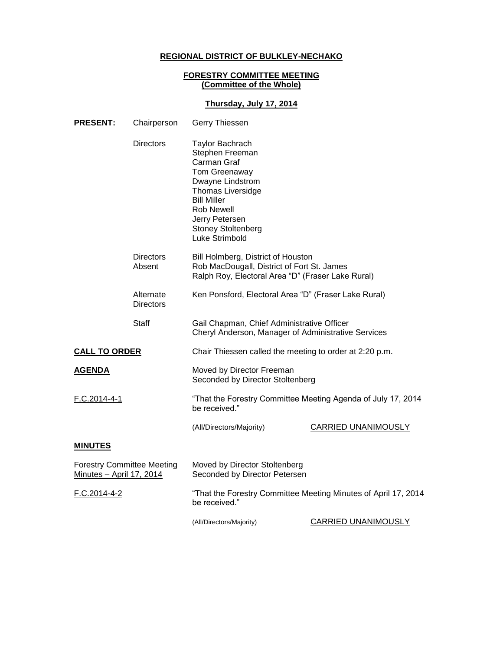## **REGIONAL DISTRICT OF BULKLEY-NECHAKO**

## **FORESTRY COMMITTEE MEETING (Committee of the Whole)**

## **Thursday, July 17, 2014**

| <b>PRESENT:</b>                                               | Chairperson                   | Gerry Thiessen                                                                                                                                                                                                                        |                            |
|---------------------------------------------------------------|-------------------------------|---------------------------------------------------------------------------------------------------------------------------------------------------------------------------------------------------------------------------------------|----------------------------|
|                                                               | Directors                     | <b>Taylor Bachrach</b><br>Stephen Freeman<br>Carman Graf<br>Tom Greenaway<br>Dwayne Lindstrom<br><b>Thomas Liversidge</b><br><b>Bill Miller</b><br><b>Rob Newell</b><br>Jerry Petersen<br><b>Stoney Stoltenberg</b><br>Luke Strimbold |                            |
|                                                               | <b>Directors</b><br>Absent    | Bill Holmberg, District of Houston<br>Rob MacDougall, District of Fort St. James<br>Ralph Roy, Electoral Area "D" (Fraser Lake Rural)                                                                                                 |                            |
|                                                               | Alternate<br><b>Directors</b> | Ken Ponsford, Electoral Area "D" (Fraser Lake Rural)                                                                                                                                                                                  |                            |
|                                                               | Staff                         | Gail Chapman, Chief Administrative Officer<br>Cheryl Anderson, Manager of Administrative Services                                                                                                                                     |                            |
| <b>CALL TO ORDER</b>                                          |                               | Chair Thiessen called the meeting to order at 2:20 p.m.                                                                                                                                                                               |                            |
| <b>AGENDA</b>                                                 |                               | Moved by Director Freeman<br>Seconded by Director Stoltenberg                                                                                                                                                                         |                            |
| F.C.2014-4-1                                                  |                               | "That the Forestry Committee Meeting Agenda of July 17, 2014<br>be received."                                                                                                                                                         |                            |
|                                                               |                               | (All/Directors/Majority)                                                                                                                                                                                                              | CARRIED UNANIMOUSLY        |
| <b>MINUTES</b>                                                |                               |                                                                                                                                                                                                                                       |                            |
| <b>Forestry Committee Meeting</b><br>Minutes - April 17, 2014 |                               | Moved by Director Stoltenberg<br>Seconded by Director Petersen                                                                                                                                                                        |                            |
| F.C.2014-4-2                                                  |                               | "That the Forestry Committee Meeting Minutes of April 17, 2014<br>be received."                                                                                                                                                       |                            |
|                                                               |                               | (All/Directors/Majority)                                                                                                                                                                                                              | <b>CARRIED UNANIMOUSLY</b> |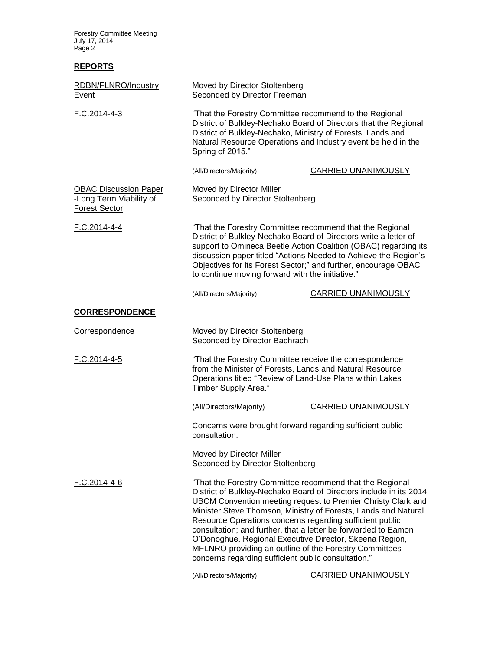Forestry Committee Meeting July 17, 2014 Page 2

## **REPORTS**

| RDBN/FLNRO/Industry<br>Event                                                    | Moved by Director Stoltenberg<br>Seconded by Director Freeman                                                                                                                                                                                                                                                                                                                                                                                                                                                                                                              |                            |  |
|---------------------------------------------------------------------------------|----------------------------------------------------------------------------------------------------------------------------------------------------------------------------------------------------------------------------------------------------------------------------------------------------------------------------------------------------------------------------------------------------------------------------------------------------------------------------------------------------------------------------------------------------------------------------|----------------------------|--|
| $F.C.2014-4-3$                                                                  | "That the Forestry Committee recommend to the Regional<br>District of Bulkley-Nechako Board of Directors that the Regional<br>District of Bulkley-Nechako, Ministry of Forests, Lands and<br>Natural Resource Operations and Industry event be held in the<br>Spring of 2015."                                                                                                                                                                                                                                                                                             |                            |  |
|                                                                                 | (All/Directors/Majority)                                                                                                                                                                                                                                                                                                                                                                                                                                                                                                                                                   | CARRIED UNANIMOUSLY        |  |
| <b>OBAC Discussion Paper</b><br>-Long Term Viability of<br><b>Forest Sector</b> | Moved by Director Miller<br>Seconded by Director Stoltenberg                                                                                                                                                                                                                                                                                                                                                                                                                                                                                                               |                            |  |
| $F.C.2014-4-4$                                                                  | "That the Forestry Committee recommend that the Regional<br>District of Bulkley-Nechako Board of Directors write a letter of<br>support to Omineca Beetle Action Coalition (OBAC) regarding its<br>discussion paper titled "Actions Needed to Achieve the Region's<br>Objectives for its Forest Sector;" and further, encourage OBAC<br>to continue moving forward with the initiative."                                                                                                                                                                                   |                            |  |
|                                                                                 | (All/Directors/Majority)                                                                                                                                                                                                                                                                                                                                                                                                                                                                                                                                                   | <b>CARRIED UNANIMOUSLY</b> |  |
| <b>CORRESPONDENCE</b>                                                           |                                                                                                                                                                                                                                                                                                                                                                                                                                                                                                                                                                            |                            |  |
| Correspondence                                                                  | Moved by Director Stoltenberg<br>Seconded by Director Bachrach                                                                                                                                                                                                                                                                                                                                                                                                                                                                                                             |                            |  |
| F.C.2014-4-5                                                                    | "That the Forestry Committee receive the correspondence<br>from the Minister of Forests, Lands and Natural Resource<br>Operations titled "Review of Land-Use Plans within Lakes<br>Timber Supply Area."                                                                                                                                                                                                                                                                                                                                                                    |                            |  |
|                                                                                 | (All/Directors/Majority)                                                                                                                                                                                                                                                                                                                                                                                                                                                                                                                                                   | <b>CARRIED UNANIMOUSLY</b> |  |
|                                                                                 | Concerns were brought forward regarding sufficient public<br>consultation.                                                                                                                                                                                                                                                                                                                                                                                                                                                                                                 |                            |  |
|                                                                                 | Moved by Director Miller<br>Seconded by Director Stoltenberg                                                                                                                                                                                                                                                                                                                                                                                                                                                                                                               |                            |  |
| F.C.2014-4-6                                                                    | "That the Forestry Committee recommend that the Regional<br>District of Bulkley-Nechako Board of Directors include in its 2014<br>UBCM Convention meeting request to Premier Christy Clark and<br>Minister Steve Thomson, Ministry of Forests, Lands and Natural<br>Resource Operations concerns regarding sufficient public<br>consultation; and further, that a letter be forwarded to Eamon<br>O'Donoghue, Regional Executive Director, Skeena Region,<br>MFLNRO providing an outline of the Forestry Committees<br>concerns regarding sufficient public consultation." |                            |  |

(All/Directors/Majority) CARRIED UNANIMOUSLY